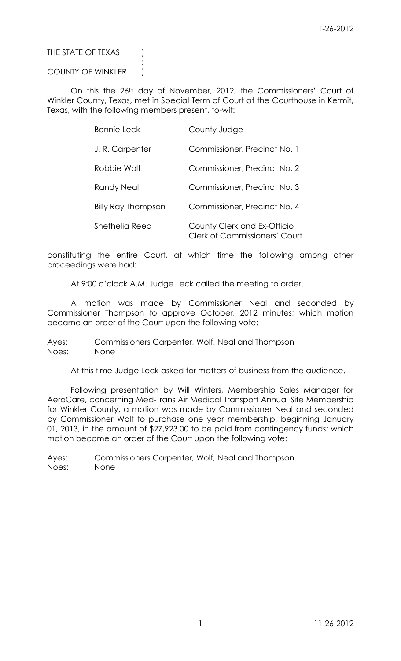## THE STATE OF TEXAS (

### COUNTY OF WINKLER |

:

On this the 26<sup>th</sup> day of November, 2012, the Commissioners' Court of Winkler County, Texas, met in Special Term of Court at the Courthouse in Kermit, Texas, with the following members present, to-wit:

| <b>Bonnie Leck</b>        | County Judge                                                        |
|---------------------------|---------------------------------------------------------------------|
| J.R. Carpenter            | Commissioner, Precinct No. 1                                        |
| Robbie Wolf               | Commissioner, Precinct No. 2                                        |
| Randy Neal                | Commissioner, Precinct No. 3                                        |
| <b>Billy Ray Thompson</b> | Commissioner, Precinct No. 4                                        |
| Shethelia Reed            | County Clerk and Ex-Officio<br><b>Clerk of Commissioners' Court</b> |

constituting the entire Court, at which time the following among other proceedings were had:

At 9:00 o'clock A.M. Judge Leck called the meeting to order.

A motion was made by Commissioner Neal and seconded by Commissioner Thompson to approve October, 2012 minutes; which motion became an order of the Court upon the following vote:

Ayes: Commissioners Carpenter, Wolf, Neal and Thompson Noes: None

At this time Judge Leck asked for matters of business from the audience.

Following presentation by Will Winters, Membership Sales Manager for AeroCare, concerning Med-Trans Air Medical Transport Annual Site Membership for Winkler County, a motion was made by Commissioner Neal and seconded by Commissioner Wolf to purchase one year membership, beginning January 01, 2013, in the amount of \$27,923.00 to be paid from contingency funds; which motion became an order of the Court upon the following vote: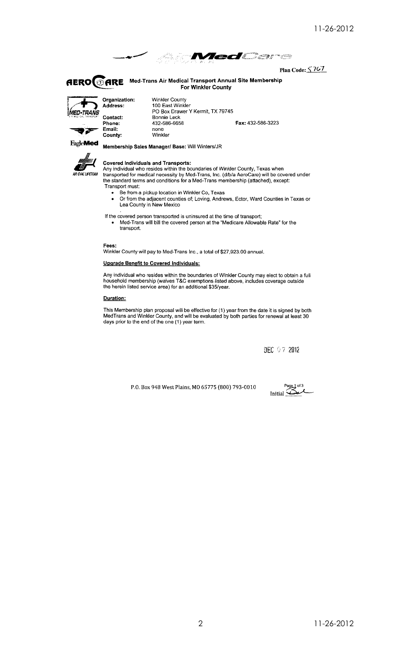

Plan Code: 5767

**AERO CARE** Med-Trans Air Medical Transport Annual Site Membership<br>For Winkler County



County:

**Winkler County** 100 East Winkler PO Box Drawer Y Kermit, TX 79745 Bonnie Leck 432-586-6658 Fax: 432-586-3223 none<br>Winkler

**FagleMed** 



#### **Covered Individuals and Transports:**

Membership Sales Manager/ Base: Will Winters/JR

Any individual who resides within the boundaries of Winkler County, Texas when<br>transported for medical necessity by Med-Trans, Inc. (d/b/a AeroCare) will be covered under<br>the standard terms and conditions for a Med-Trans m Transport must:

- Be from a pickup location in Winkler Co, Texas  $\bullet$
- Or from the adjacent counties of; Loving, Andrews, Ector, Ward Counties in Texas or Lea County in New Mexico

If the covered person transported is uninsured at the time of transport;

Med-Trans will bill the covered person at the "Medicare Allowable Rate" for the transport.

Fees:

Winkler County will pay to Med-Trans Inc., a total of \$27,923.00 annual.

#### **Upgrade Benefit to Covered Individuals:**

Any individual who resides within the boundaries of Winkler County may elect to obtain a full household membership (waives T&C exemptions listed above, includes coverage outside the herein listed service area) for an addit

#### Duration:

This Membership plan proposal will be effective for (1) year from the date it is signed by both MedTrans and Winkler County, and will be evaluated by both parties for renewal at least 30 days prior to the end of the one (1

DEC 97 2012

P.O. Box 948 West Plains, MO 65775 (800) 793-0010

Page 1 of 3<br>1. Initial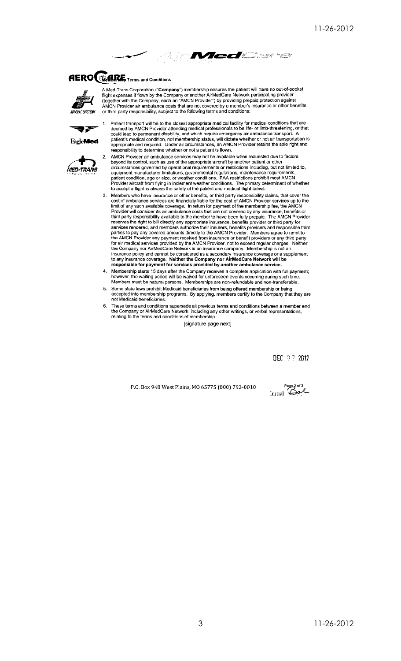

# **AERO BARE** Terms and Conditions



A Med-Trans Corporation ("Company") membership ensures the patient will have no out-of-pocket<br>flight expenses if flown by the Company or another AirMedCare Network participating provider<br>(together with the Company, each an or third party responsibility, subject to the following terms and conditions:



Patient transport will be to the closest appropriate medical facility for medical conditions that are<br>deemed by AMCN Provider attending medical professionals to be life- or limb-threatening, or that could lead to permanent disability, and which require emergency air ambulance transport. A<br>patient's medical condition, not membership status, will dictate whether or not air transportation is appropriate and required. Under all circumstances, an AMCN Provider retains the sole right and responsibility to determine whether or not a patient is flown.



 $\overline{2}$ .

AMCN Provider air ambulance services may not be available when requested due to factors beyond its control, such as use of the appropriate aircraft by another patient or other<br>circumstances governed by operational requirements or restrictions including, but not limited to,<br>equipment manufacturer limitations, patient condition, age or size, or weather conditions. FAA restrictions prohibit most AMCN<br>Provider aircraft from flying in inclement weather conditions. The primary determinant of whether to accept a flight is always the safety of the patient and medical flight crews.

- Members who have insurance or other benefits, or third party responsibility claims, that cover the cost of ambulance services are financially liable for the cost of AMCN Provider services up to the  $3<sub>1</sub>$ cost of ambulance services are financially liable for the cost of AMCN Provider services up to the<br>limit of any such available coverage. In return for payment of the membership fee, the AMCN<br>Provider will consider its air
- Membership starts 15 days after the Company receives a complete application with full payment; however, the waiting period will be waived for unforeseen events occurring during such time.<br>Members must be natural persons. Memberships are non-refundable and non-transferable.
- Some state laws prohibit Medicaid beneficiaries from being offered membership or being 5. accepted into membership programs. By applying, members certify to the Company that they are not Medicaid beneficiaries
- These terms and conditions supersede all previous terms and conditions between a member and the Company or AirMedCare Network, including any other writings, or verbal representations, 6. relating to the terms and conditions of membership.

[signature page next]

DEC 07 2012

P.O. Box 948 West Plains, MO 65775 (800) 793-0010

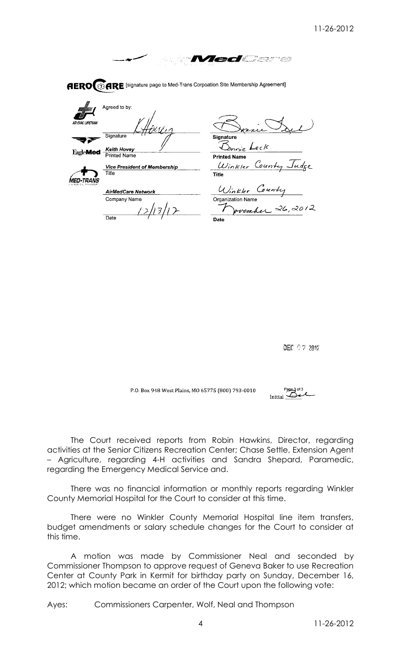*MedCare* 

**AERO GARE** [signature page to Med-Trans Corpoation Site Membership Agreement]



areed to by: Sionature 32

**Keith Hovey**<br>Printed Name EagleMed -



**Vice President of Membership** Title

**AirMedCare Network** Company Name

/13/12  $\overline{Data}$ 

Signature

Donnie Leck **Printed Name** Count  $w_{inter}$ 

**Title** Winkler Cou Organization Name

26,2012 vem h e Date

DEC 07 2012

P.O. Box 948 West Plains, MO 65775 (800) 793-0010

 $P_{2043}$  of 3

The Court received reports from Robin Hawkins, Director, regarding activities at the Senior Citizens Recreation Center; Chase Settle, Extension Agent – Agriculture, regarding 4-H activities and Sandra Shepard, Paramedic, regarding the Emergency Medical Service and.

There was no financial information or monthly reports regarding Winkler County Memorial Hospital for the Court to consider at this time.

There were no Winkler County Memorial Hospital line item transfers, budget amendments or salary schedule changes for the Court to consider at this time.

A motion was made by Commissioner Neal and seconded by Commissioner Thompson to approve request of Geneva Baker to use Recreation Center at County Park in Kermit for birthday party on Sunday, December 16, 2012; which motion became an order of the Court upon the following vote: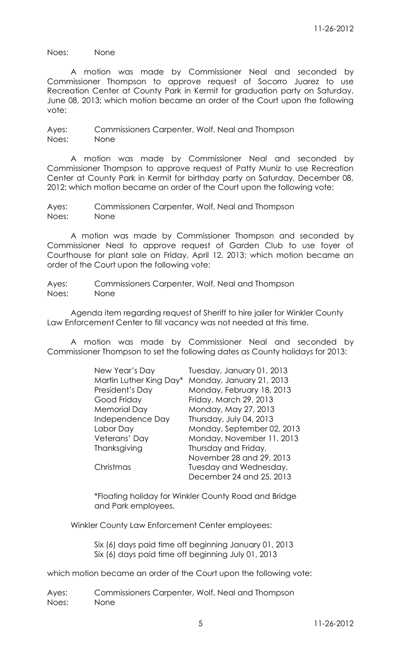Noes: None

A motion was made by Commissioner Neal and seconded by Commissioner Thompson to approve request of Socorro Juarez to use Recreation Center at County Park in Kermit for graduation party on Saturday, June 08, 2013; which motion became an order of the Court upon the following vote:

Ayes: Commissioners Carpenter, Wolf, Neal and Thompson Noes: None

A motion was made by Commissioner Neal and seconded by Commissioner Thompson to approve request of Patty Muniz to use Recreation Center at County Park in Kermit for birthday party on Saturday, December 08, 2012; which motion became an order of the Court upon the following vote:

Ayes: Commissioners Carpenter, Wolf, Neal and Thompson Noes: None

A motion was made by Commissioner Thompson and seconded by Commissioner Neal to approve request of Garden Club to use foyer of Courthouse for plant sale on Friday, April 12, 2013; which motion became an order of the Court upon the following vote:

Ayes: Commissioners Carpenter, Wolf, Neal and Thompson Noes: None

Agenda item regarding request of Sheriff to hire jailer for Winkler County Law Enforcement Center to fill vacancy was not needed at this time.

A motion was made by Commissioner Neal and seconded by Commissioner Thompson to set the following dates as County holidays for 2013:

| New Year's Day          | Tuesday, January 01, 2013  |
|-------------------------|----------------------------|
| Martin Luther King Day* | Monday, January 21, 2013   |
| President's Day         | Monday, February 18, 2013  |
| Good Friday             | Friday, March 29, 2013     |
| <b>Memorial Day</b>     | Monday, May 27, 2013       |
| Independence Day        | Thursday, July 04, 2013    |
| Labor Day               | Monday, September 02, 2013 |
| Veterans' Day           | Monday, November 11, 2013  |
| Thanksgiving            | Thursday and Friday,       |
|                         | November 28 and 29, 2013   |
| Christmas               | Tuesday and Wednesday,     |
|                         | December 24 and 25, 2013   |
|                         |                            |

\*Floating holiday for Winkler County Road and Bridge and Park employees,

Winkler County Law Enforcement Center employees:

Six (6) days paid time off beginning January 01, 2013 Six (6) days paid time off beginning July 01, 2013

which motion became an order of the Court upon the following vote: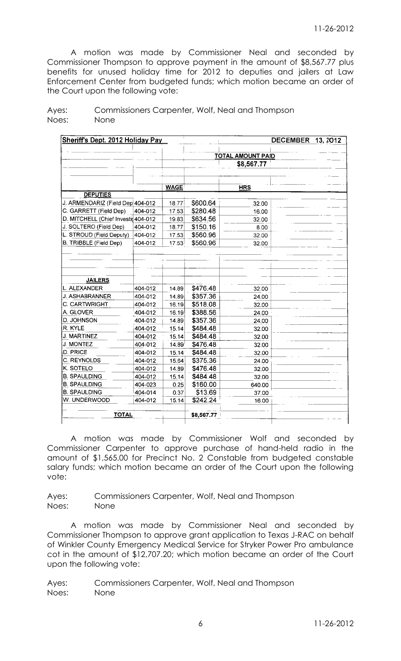A motion was made by Commissioner Neal and seconded by Commissioner Thompson to approve payment in the amount of \$8,567.77 plus benefits for unused holiday time for 2012 to deputies and jailers at Law Enforcement Center from budgeted funds; which motion became an order of the Court upon the following vote:

|                                     |         |             | <b>TOTAL AMOUNT PAID</b> |            |  |  |  |  |  |
|-------------------------------------|---------|-------------|--------------------------|------------|--|--|--|--|--|
|                                     |         |             |                          | \$8,567.77 |  |  |  |  |  |
|                                     |         |             |                          |            |  |  |  |  |  |
|                                     |         |             |                          |            |  |  |  |  |  |
|                                     |         | <b>WAGE</b> |                          | <b>HRS</b> |  |  |  |  |  |
| <b>DEPUTIES</b>                     |         |             |                          |            |  |  |  |  |  |
| J. ARMENDARIZ (Field Dep 404-012    |         | 18.77       | \$600.64                 | 32.00      |  |  |  |  |  |
| C. GARRETT (Field Dep)              | 404-012 | 17.53       | \$280.48                 | 16.00      |  |  |  |  |  |
| D. MITCHELL (Chief Investig 404-012 |         | 19.83       | \$634.56                 | 32.00      |  |  |  |  |  |
| J. SOLTERO (Field Dep)              | 404-012 | 18.77       | \$150.16                 | 8.00       |  |  |  |  |  |
| L. STROUD (Field Deputy)            | 404-012 | 17.53       | \$560.96                 | 32.00      |  |  |  |  |  |
| B. TRIBBLE (Field Dep)              | 404-012 | 17.53       | \$560.96                 | 32.00      |  |  |  |  |  |
|                                     |         |             |                          |            |  |  |  |  |  |
|                                     |         |             |                          |            |  |  |  |  |  |
|                                     |         |             |                          |            |  |  |  |  |  |
|                                     |         |             |                          |            |  |  |  |  |  |
| <b>JAILERS</b>                      |         |             |                          |            |  |  |  |  |  |
| L. ALEXANDER                        | 404-012 | 14.89       | \$476.48                 | 32.00      |  |  |  |  |  |
| J. ASHABRANNER                      | 404-012 | 14.89       | \$357.36                 | 24.00      |  |  |  |  |  |
| C. CARTWRIGHT                       | 404-012 | 16.19       | \$518.08                 | 32.00      |  |  |  |  |  |
| A. GLOVER                           | 404-012 | 16.19       | \$388.56                 | 24.00      |  |  |  |  |  |
| D. JOHNSON                          | 404-012 | 14.89       | \$357.36                 | 24.00      |  |  |  |  |  |
| R. KYLE                             | 404-012 | 15.14       | \$484.48                 | 32.00      |  |  |  |  |  |
| J. MARTINEZ                         | 404-012 | 15.14       | \$484.48                 | 32.00      |  |  |  |  |  |
| <b>J. MONTEZ</b>                    | 404-012 | 14.89       | \$476.48                 | 32.00      |  |  |  |  |  |
| D. PRICE                            | 404-012 | 15.14       | \$484.48                 | 32.00      |  |  |  |  |  |
| C. REYNOLDS                         | 404-012 | 15.64       | \$375.36                 | 24.00      |  |  |  |  |  |
| K. SOTELO                           | 404-012 | 14.89       | \$476.48                 | 32.00      |  |  |  |  |  |
| <b>B. SPAULDING</b>                 | 404-012 | 15.14       | \$484.48                 | 32.00      |  |  |  |  |  |
| <b>B. SPAULDING</b>                 | 404-023 | 0.25        | \$160.00                 | 640.00     |  |  |  |  |  |
| <b>B. SPAULDING</b>                 | 404-014 | 0.37        | \$13.69                  | 37.00      |  |  |  |  |  |
| W. UNDERWOOD                        | 404-012 | 15.14       | \$242.24                 | 16.00      |  |  |  |  |  |
|                                     |         |             |                          |            |  |  |  |  |  |
| <b>TOTAL</b>                        |         |             | \$8,567.77               |            |  |  |  |  |  |

Ayes: Commissioners Carpenter, Wolf, Neal and Thompson Noes: None

A motion was made by Commissioner Wolf and seconded by Commissioner Carpenter to approve purchase of hand-held radio in the amount of \$1,565.00 for Precinct No. 2 Constable from budgeted constable salary funds; which motion became an order of the Court upon the following vote:

Ayes: Commissioners Carpenter, Wolf, Neal and Thompson Noes: None

A motion was made by Commissioner Neal and seconded by Commissioner Thompson to approve grant application to Texas J-RAC on behalf of Winkler County Emergency Medical Service for Stryker Power Pro ambulance cot in the amount of \$12,707.20; which motion became an order of the Court upon the following vote: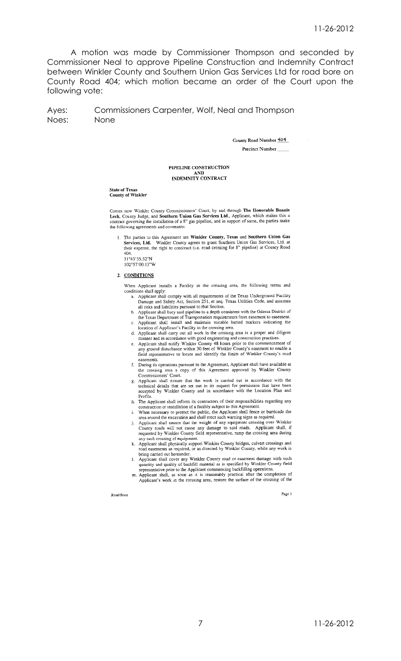A motion was made by Commissioner Thompson and seconded by Commissioner Neal to approve Pipeline Construction and Indemnity Contract between Winkler County and Southern Union Gas Services Ltd for road bore on County Road 404; which motion became an order of the Court upon the following vote:

Commissioners Carpenter, Wolf, Neal and Thompson Ayes: Noes: None

> County Road Number 404 **Precinct Number**

### PIPELINE CONSTRUCTION AND<br>INDEMNITY CONTRACT

#### **State of Texas County of Winkler**

Comes now Winkler County Commissioners' Court, by and through The Honorable Bonnie<br>Leck, County Judge, and Southern Union Gas Services Ltd., Applicant, which makes this a contract governing the installation of a 8" gas pipeline, and in support of same, the parties make the following agreements and covenants:

1. The parties to this Agreement are Winkler County, Texas and Southern Union Gas Services, Ltd. Winkler County agrees to grant Southern Union Gas Services, Ltd. at their expense, the right to construct (i.e. road crossing ......<br>404 31°43'55.52"N

102°57'00.13"W

#### 2. CONDITIONS

When Applicant installs a Facility in the crossing area, the following terms and conditions shall apply:

- Applicant shall comply with all requirements of the Texas Underground Facility Appear state compay with an individualism of the Texas Utilities Code, and assumes<br>all risks and liabilities pursuant to that Section.
- ar tass and momento parsume to an depth consistent with the Odessa District of<br>the Texas Department of Transportation requirements from easement to easement.<br>Applicant shall install and maintain suitable buried markers ind  $\mathbf{b}$ .
- $\mathbf{c}$ .
- 
- c. Applicant shall install and maintain suitable bured markers indicating the<br>location of Applicant's Facility in the crossing area.<br>Applicant shall carry out all work in the crossing area in a proper and diligent<br>manner a easements.
- Exercise to the Agreement, Applicant shall have available at the crossing area a copy of this Agreement approved by Winkler County Commissioners' Court.
- e. Applicant shall ensure that the work is carried out in accordance with the technical details that are set out in its request for permission that have been accepted by Winkler County and in accordance with the Location P
- h. The Applicant shall inform its contractors of their responsibilities regarding any
- construction or installation of a facility subject to this Agreement.<br>When necessary to protect the public, the Applicant shall fence or barricade the<br>area around the excavation and shall erect such warning signs as requir
- i. Applicant shall ensure that the weight of any equipment crossing over Winkler<br>County roads will not cause any damage to said roads. Applicant shall, if requested by Winkler County field representative, ramp the crossing area during<br>any such crossing of equipment.
- 
- any such crossing of equipment.<br>
K. Applicant shall physically support Winkler County bridges, culvert crossings and<br>
toad easements as required, or as directed by Winkler County, while any work is<br>
being carried out hereu
- m. Applicant shall, as soon as it is reasonably practical after the completion of Applicant's work in the crossing area, restore the surface of the crossing of the

Road Bore

Page 1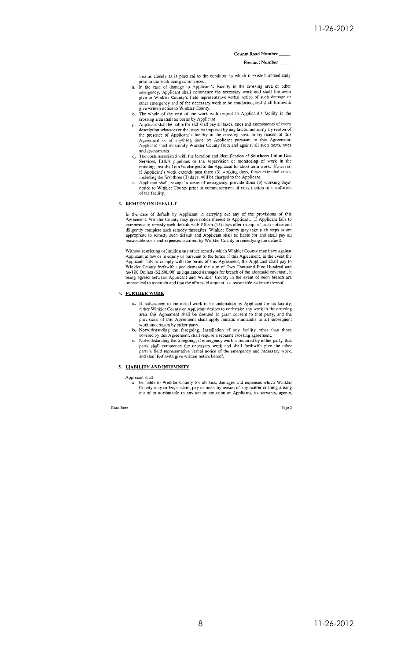### County Road Number

#### **Precinct Number**

area as closely as is practical to the condition in which it existed immediately prior to the work being commenced.<br>
n. In the case of damage to Applicant's Facility in the crossing area or other

- emergency, Applicant shall commence the necessary work and shall forthwith give to Winkler County's field representative verbal notice of such damage or of the energiency and of the necessary work to be conducted, and shall forthwith<br>give written notice to Winkler County.<br>o. The whole of the cost of the work with respect to Applicant's facility in the
- crossing area shall be borne by Applicant.<br>
p. Applicant states, rates and assessments of every<br>
p. Applicant shall be liable for and shall pay all taxes, rates and assessments of every
- Applicant shart our ander to an sinar pay an taxes, takes and assessments or every<br>description whatsoever that may be imposed by any lawful authority by reason of<br>the presence of Applicant's facility in the crossing area, and assessments.
- The costs associated with the location and identification of Southern Union Gas Services, Ltd.'s pipelines or the supervision or monitoring of work in the Set vices, Lucca s piperines or the supervision or monitoring of work in the<br>crossing area shall not be charged to the Applicant's roshot term work. However,<br>if Applicant's work extends past three (3) working days, these e
- of the facility.

#### 3. REMEDY ON DEFAULT

In the case of default by Applicant in carrying out any of the provisions of this Agreement, Winkler County may give notice thereof to Applicant. If Applicant fails to commence to remedy such default with fifteen (15) days

Without restricting or limiting any other remedy which Winkler County may have against<br>Applicant at law or in equity or pursuant to the terms of this Agreement, in the event the<br>Applicant fails to comply with the terms of

#### 4. FURTHER WORK

- a. If, subsequent to the initial work to be undertaken by Applicant for its facility, either Winkler County or Applicant desires to undertake any work in the crossing area, this Agreement shall be deemed to grant consent t
- b. Notwithstanding the foregoing, installation of any facility other than those<br>covered by this Agreement, shall require a separate crossing agreement.
- c. Notwithstanding the foregoing, if emergency work is required by either party, that party shall commence the necessary work and shall forthwith give the other party's field representative verbal notice of the emergency a and shall forthwith give written notice hereof.

#### 5. LIABILITY AND INDEMNITY

Applicant shall

when she is the liable to Winkler County for all loss, damages and expenses which Winkler County may suffer, sustain, pay or incur by reason of any matter or thing arising out of or attributable to any act or omission of A

Road Bore

Page 2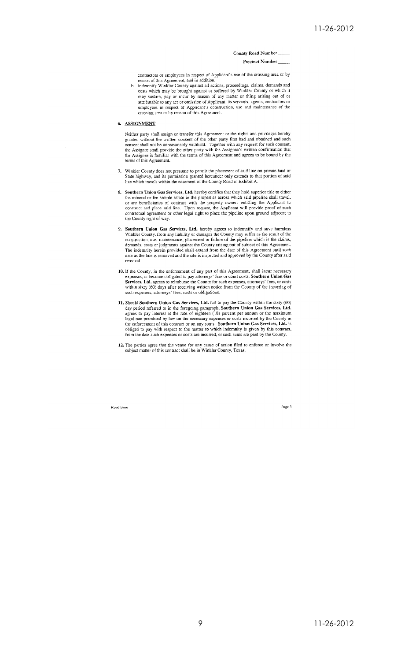#### County Road Number

#### **Precinct Number**

contractors or employees in respect of Applicant's use of the crossing area or by reason of this Agreement, and in addition,

reason of uns Agreement, and in additions, proceedings, claims, demands and costs which may be brought against or suffered by Winkler County or which it  $\mathbf{h}$ ouse when may sustain, pay or incur by reason of any matter or thing arising out of or attributable to any act or omission of Applicant, its servants, agents, contractors or employees in respect of Applicant's construction, use and maintenance of the crossing area or by reason of this Agreement.

#### 6. ASSIGNMENT

Ü,

Neither party shall assign or transfer this Agreement or the rights and privileges hereby<br>granted without the written consent of the other party first had and obtained and such<br>consent shall not be unreasonably withheld. T terms of this Agreement.

- 7. Winkler County does not presume to permit the placement of said line on private land or State highway, and its permission granted hereunder only extends to that portion of said line which travels within the easement of
- Southern Union Gas Services, Ltd. hereby certifies that they hold superior title to either bounter of those between the properties across which stail pieline shall travel, the mineral or fee simple estate in the properties across which stail pieline shall travel, or are beneficiaries of contract with the propert
- **Southern Union Gas Services, Ltd.** hereby agrees to indemnify and save harmless Winkler County, from any liability or damages the County may suffer as the result of the construction, use, maintenance, placement or failure removal.
- 10. If the County, in the enforcement of any part of this Agreement, shall incur necessary expenses, or become obligated to pay attorneys' fees or court costs, Southern Union Gas Services, Ltd. agrees to reimburse the Coun such expenses, attorneys' fees, costs or obligations.
- 11. Should Southern Union Gas Services, Ltd. fail to pay the County within the sixty (60) day period referred to in the foregoing paragraph, Southern Union Gas Services, Ltd. agrees to pay interest at the rate of eighteen Super the permitted by law on the necessary expenses or costs incurred by the County in<br>the enforcement of this contract or on any sums. Southern Union Gas Services, Ltd. is<br>obliged to pay with respect to the matter to whi from the date such expenses or costs are incurred, or such sums are paid by the County.
- 12. The parties agree that the venue for any cause of action filed to enforce or involve the subject matter of this contract shall be in Winkler County, Texas.

**Road Bore** 

Page 3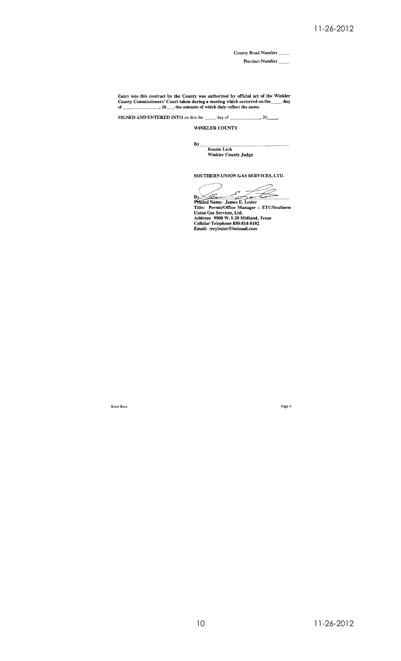County Road Number \_\_\_

Precinct Number

Entry into this contract by the County was authorized by official act of the Winkler<br>County Commissioners' Court taken during a meeting which occurred on the  $\mu$  day<br>of  $\mu$  ...,  $20\mu$  the minutes of which duly reflect

SIGNED AND ENTERED INTO on this the \_\_\_\_\_ day of \_\_\_  $\sim$  20

WINKLER COUNTY

 $By$ <sub>---</sub> **Bonnie Leck** Winkler County Judge

SOUTHERN UNION GAS SERVICES, LTD.

By<br>
Printed Name: James E. Lester<br>
Title: Permit/Office Manager - ETC/Southern<br>
Union Gas Services, Ltd.<br>
Address: 9900 W. I-20 Midland, Texas<br>
Cellular Telephone 850-814-8102<br>
Email: treylester@hotmail.com

Road Bore

Page 4

 $10$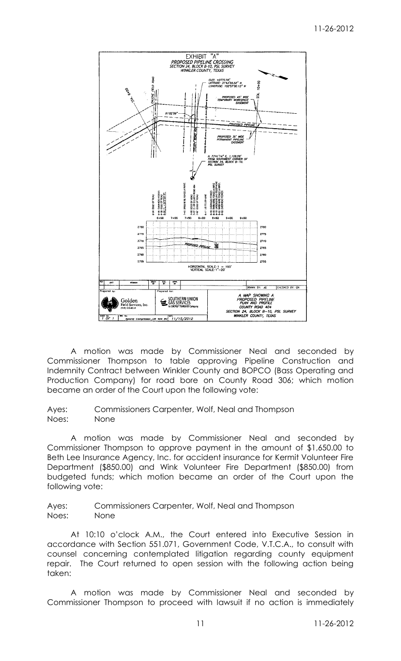

A motion was made by Commissioner Neal and seconded by Commissioner Thompson to table approving Pipeline Construction and Indemnity Contract between Winkler County and BOPCO (Bass Operating and Production Company) for road bore on County Road 306; which motion became an order of the Court upon the following vote:

Ayes: Commissioners Carpenter, Wolf, Neal and Thompson Noes: None

A motion was made by Commissioner Neal and seconded by Commissioner Thompson to approve payment in the amount of \$1,650.00 to Beth Lee Insurance Agency, Inc. for accident insurance for Kermit Volunteer Fire Department (\$850.00) and Wink Volunteer Fire Department (\$850.00) from budgeted funds; which motion became an order of the Court upon the following vote:

Ayes: Commissioners Carpenter, Wolf, Neal and Thompson Noes: None

At 10:10 o'clock A.M., the Court entered into Executive Session in accordance with Section 551.071, Government Code, V.T.C.A., to consult with counsel concerning contemplated litigation regarding county equipment repair. The Court returned to open session with the following action being taken:

A motion was made by Commissioner Neal and seconded by Commissioner Thompson to proceed with lawsuit if no action is immediately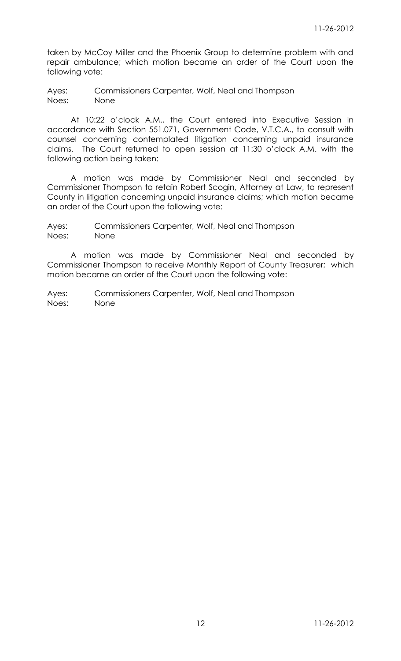taken by McCoy Miller and the Phoenix Group to determine problem with and repair ambulance; which motion became an order of the Court upon the following vote:

Ayes: Commissioners Carpenter, Wolf, Neal and Thompson Noes: None

At 10:22 o'clock A.M., the Court entered into Executive Session in accordance with Section 551.071, Government Code, V.T.C.A., to consult with counsel concerning contemplated litigation concerning unpaid insurance claims. The Court returned to open session at 11:30 o'clock A.M. with the following action being taken:

A motion was made by Commissioner Neal and seconded by Commissioner Thompson to retain Robert Scogin, Attorney at Law, to represent County in litigation concerning unpaid insurance claims; which motion became an order of the Court upon the following vote:

Ayes: Commissioners Carpenter, Wolf, Neal and Thompson Noes: None

A motion was made by Commissioner Neal and seconded by Commissioner Thompson to receive Monthly Report of County Treasurer; which motion became an order of the Court upon the following vote: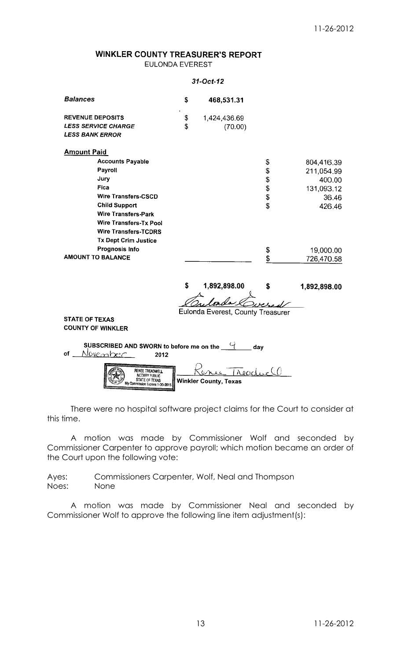### **WINKLER COUNTY TREASURER'S REPORT** EULONDA EVEREST

### $31-Oct-12$

| <b>Balances</b>                                                                                 | \$       | 468,531.31                        |          |              |  |  |
|-------------------------------------------------------------------------------------------------|----------|-----------------------------------|----------|--------------|--|--|
| <b>REVENUE DEPOSITS</b><br><b>LESS SERVICE CHARGE</b>                                           | \$<br>\$ | 1,424,436.69<br>(70.00)           |          |              |  |  |
| <b>LESS BANK ERROR</b>                                                                          |          |                                   |          |              |  |  |
| <b>Amount Paid</b>                                                                              |          |                                   |          |              |  |  |
| <b>Accounts Payable</b>                                                                         |          |                                   | \$       | 804,416.39   |  |  |
| Payroll                                                                                         |          |                                   | \$       | 211,054.99   |  |  |
| Jury                                                                                            |          |                                   | \$       | 400.00       |  |  |
| <b>Fica</b>                                                                                     |          |                                   |          | 131,093.12   |  |  |
| <b>Wire Transfers-CSCD</b>                                                                      |          |                                   | \$<br>\$ | 36.46        |  |  |
| <b>Child Support</b>                                                                            |          |                                   | \$       | 426.46       |  |  |
| <b>Wire Transfers-Park</b>                                                                      |          |                                   |          |              |  |  |
| <b>Wire Transfers-Tx Pool</b>                                                                   |          |                                   |          |              |  |  |
| <b>Wire Transfers-TCDRS</b>                                                                     |          |                                   |          |              |  |  |
| <b>Tx Dept Crim Justice</b>                                                                     |          |                                   |          |              |  |  |
| Prognosis Info<br><b>AMOUNT TO BALANCE</b>                                                      |          |                                   | \$       | 19,000.00    |  |  |
|                                                                                                 |          |                                   | \$       | 726,470.58   |  |  |
|                                                                                                 |          |                                   |          |              |  |  |
|                                                                                                 | \$       | 1,892,898.00                      | \$       | 1,892,898.00 |  |  |
|                                                                                                 |          |                                   |          |              |  |  |
|                                                                                                 |          | Eulonda Everest, County Treasurer |          |              |  |  |
| <b>STATE OF TEXAS</b>                                                                           |          |                                   |          |              |  |  |
| <b>COUNTY OF WINKLER</b>                                                                        |          |                                   |          |              |  |  |
|                                                                                                 |          |                                   |          |              |  |  |
| SUBSCRIBED AND SWORN to before me on the $\frac{C_1}{C_2}$<br>day                               |          |                                   |          |              |  |  |
| <u>November</u><br>оf<br>2012                                                                   |          |                                   |          |              |  |  |
| Readur (1)<br>Renee Treadwell<br>NOTARY PUBLIC<br><b>Winkler County, Texas</b><br>Mv Commission |          |                                   |          |              |  |  |

There were no hospital software project claims for the Court to consider at this time.

A motion was made by Commissioner Wolf and seconded by Commissioner Carpenter to approve payroll; which motion became an order of the Court upon the following vote:

Ayes: Commissioners Carpenter, Wolf, Neal and Thompson Noes: None

A motion was made by Commissioner Neal and seconded by Commissioner Wolf to approve the following line item adjustment(s):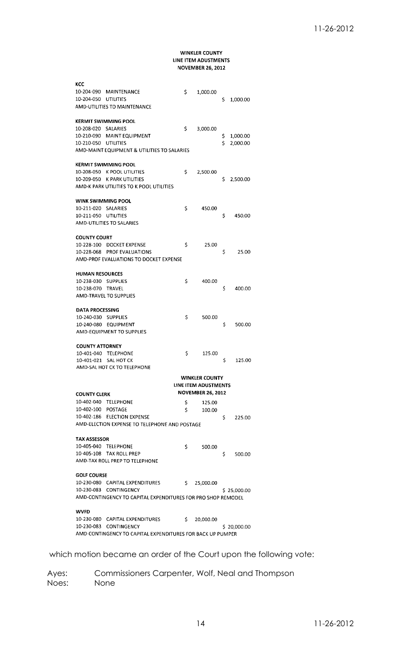### **WINKLER COUNTY** LINE ITEM ADUSTMENTS **NOVEMBER 26, 2012**

| KCC                                                        |                                                              |     |                          |    |             |
|------------------------------------------------------------|--------------------------------------------------------------|-----|--------------------------|----|-------------|
| 10-204-090                                                 | MAINTENANCE                                                  | Ś   | 1,000.00                 |    |             |
| 10-204-050                                                 | UTILITIES                                                    |     |                          | \$ | 1,000.00    |
|                                                            | AMD-UTILITIES TO MAINTENANCE                                 |     |                          |    |             |
|                                                            |                                                              |     |                          |    |             |
|                                                            | KERMIT SWIMMING POOL                                         |     |                          |    |             |
| 10-208-020 SALARIES                                        |                                                              | \$  | 3,000.00                 |    |             |
| 10-210-090                                                 | <b>MAINT EQUIPMENT</b>                                       |     |                          | Ş. | 1,000.00    |
| 10-210-050                                                 | UTILITIES                                                    |     |                          | Ś. | 2,000.00    |
|                                                            | AMD-MAINT EQUIPMENT & UTILITIES TO SALARIES                  |     |                          |    |             |
|                                                            |                                                              |     |                          |    |             |
|                                                            | <b>KERMIT SWIMMING POOL</b>                                  |     |                          |    |             |
| 10-208-050                                                 | <b>K POOL UTILITIES</b>                                      | \$  | 2,500.00                 |    |             |
| 10-209-050                                                 | K PARK UTILITIES                                             |     |                          | Ś  | 2,500.00    |
|                                                            | AMD-K PARK UTILITIES TO K POOL UTILITIES                     |     |                          |    |             |
|                                                            |                                                              |     |                          |    |             |
| WINK SWIMMING POOL                                         |                                                              |     |                          |    |             |
| 10-211-020                                                 | SALARIES                                                     | \$  | 450.00                   |    |             |
| 10-211-050                                                 | UTILITIES                                                    |     |                          | \$ | 450.00      |
|                                                            | AMD-UTILITIES TO SALARIES                                    |     |                          |    |             |
|                                                            |                                                              |     |                          |    |             |
| <b>COUNTY COURT</b>                                        |                                                              |     |                          |    |             |
|                                                            | 10-228-100 DOCKET EXPENSE                                    | \$  | 25.00                    |    |             |
|                                                            | 10-228-068 PROF EVALUATIONS                                  |     |                          | \$ | 25.00       |
|                                                            | AMD-PROF EVALUATIONS TO DOCKET EXPENSE                       |     |                          |    |             |
|                                                            |                                                              |     |                          |    |             |
| <b>HUMAN RESOURCES</b>                                     |                                                              |     |                          |    |             |
| 10-238-030                                                 | <b>SUPPLIES</b>                                              | \$  | 400.00                   |    |             |
| 10-238-070                                                 | TRAVEL                                                       |     |                          | \$ | 400.00      |
|                                                            | AMD-TRAVEL TO SUPPLIES                                       |     |                          |    |             |
|                                                            |                                                              |     |                          |    |             |
| DATA PROCESSING                                            |                                                              |     |                          |    |             |
| 10-240-030 SUPPLIES                                        |                                                              | Ś   | 500.00                   |    |             |
|                                                            | 10-240-080 EQUIPMENT                                         |     |                          | \$ | 500.00      |
|                                                            | AMD-EQUIPMENT TO SUPPLIES                                    |     |                          |    |             |
|                                                            |                                                              |     |                          |    |             |
| <b>COUNTY ATTORNEY</b>                                     |                                                              |     |                          |    |             |
| 10-401-040                                                 | <b>TELEPHONE</b>                                             | Ś   | 125.00                   |    |             |
| 10-401-021                                                 | <b>SAL HOT CK</b>                                            |     |                          | \$ | 125.00      |
|                                                            | AMD-SAL HOT CK TO TELEPHONE                                  |     |                          |    |             |
|                                                            |                                                              |     |                          |    |             |
|                                                            |                                                              |     | <b>WINKLER COUNTY</b>    |    |             |
|                                                            |                                                              |     | LINE ITEM ADUSTMENTS     |    |             |
| <b>COUNTY CLERK</b>                                        |                                                              |     | <b>NOVEMBER 26, 2012</b> |    |             |
|                                                            | 10-402-040 TELEPHONE                                         | \$  | 125.00                   |    |             |
| 10-402-100 POSTAGE                                         |                                                              | \$  | 100.00                   |    |             |
|                                                            | 10-402-186 ELECTION EXPENSE                                  |     |                          | \$ | 225.00      |
|                                                            | AMD-ELECTION EXPENSE TO TELEPHONE AND POSTAGE                |     |                          |    |             |
|                                                            |                                                              |     |                          |    |             |
| <b>TAX ASSESSOR</b>                                        |                                                              |     |                          |    |             |
|                                                            | 10-405-040 TELEPHONE                                         | \$  | 500.00                   |    |             |
|                                                            | 10-405-108 TAX ROLL PREP                                     |     |                          | \$ | 500.00      |
|                                                            | AMD-TAX ROLL PREP TO TELEPHONE                               |     |                          |    |             |
|                                                            |                                                              |     |                          |    |             |
| <b>GOLF COURSE</b>                                         |                                                              |     |                          |    |             |
|                                                            | 10-230-080 CAPITAL EXPENDITURES                              | \$. | 25,000.00                |    |             |
|                                                            | 10-230-083 CONTINGENCY                                       |     |                          |    | \$25,000.00 |
|                                                            | AMD-CONTINGENCY TO CAPITAL EXPENDITURES FOR PRO SHOP REMODEL |     |                          |    |             |
|                                                            |                                                              |     |                          |    |             |
| WVFD                                                       |                                                              |     |                          |    |             |
|                                                            | 10-230-080 CAPITAL EXPENDITURES                              | S.  | 20,000.00                |    |             |
|                                                            | 10-230-083 CONTINGENCY                                       |     |                          |    | \$20,000.00 |
| AMD-CONTINGENCY TO CAPITAL EXPENDITURES FOR BACK UP PUMPER |                                                              |     |                          |    |             |
|                                                            |                                                              |     |                          |    |             |

which motion became an order of the Court upon the following vote: